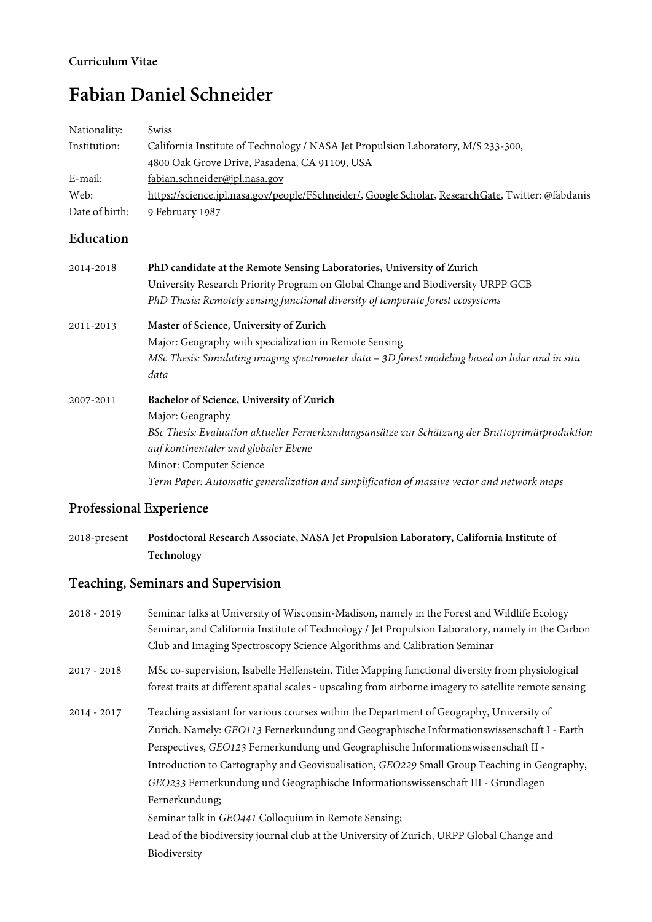#### **Curriculum Vitae**

# **Fabian Daniel Schneider**

| Nationality:   | <b>Swiss</b>                                                                                      |
|----------------|---------------------------------------------------------------------------------------------------|
| Institution:   | California Institute of Technology / NASA Jet Propulsion Laboratory, M/S 233-300,                 |
|                | 4800 Oak Grove Drive, Pasadena, CA 91109, USA                                                     |
| E-mail:        | fabian.schneider@jpl.nasa.gov                                                                     |
| Web:           | https://science.jpl.nasa.gov/people/FSchneider/, Google Scholar, ResearchGate, Twitter: @fabdanis |
| Date of birth: | 9 February 1987                                                                                   |

# **Education**

| 2014-2018 | PhD candidate at the Remote Sensing Laboratories, University of Zurich                           |
|-----------|--------------------------------------------------------------------------------------------------|
|           | University Research Priority Program on Global Change and Biodiversity URPP GCB                  |
|           | PhD Thesis: Remotely sensing functional diversity of temperate forest ecosystems                 |
| 2011-2013 | Master of Science, University of Zurich                                                          |
|           | Major: Geography with specialization in Remote Sensing                                           |
|           | MSc Thesis: Simulating imaging spectrometer data - 3D forest modeling based on lidar and in situ |
|           | data                                                                                             |
| 2007-2011 | Bachelor of Science, University of Zurich                                                        |
|           | Major: Geography                                                                                 |
|           | BSc Thesis: Evaluation aktueller Fernerkundungsansätze zur Schätzung der Bruttoprimärproduktion  |
|           | auf kontinentaler und globaler Ebene                                                             |
|           | Minor: Computer Science                                                                          |
|           | Term Paper: Automatic generalization and simplification of massive vector and network maps       |

# **Professional Experience**

2018-present **Postdoctoral Research Associate, NASA Jet Propulsion Laboratory, California Institute of Technology**

# **Teaching, Seminars and Supervision**

2018 - 2019 Seminar talks at University of Wisconsin-Madison, namely in the Forest and Wildlife Ecology Seminar, and California Institute of Technology / Jet Propulsion Laboratory, namely in the Carbon Club and Imaging Spectroscopy Science Algorithms and Calibration Seminar 2017 - 2018 MSc co-supervision, Isabelle Helfenstein. Title: Mapping functional diversity from physiological forest traits at different spatial scales - upscaling from airborne imagery to satellite remote sensing 2014 - 2017 Teaching assistant for various courses within the Department of Geography, University of Zurich. Namely: *GEO113* Fernerkundung und Geographische Informationswissenschaft I - Earth Perspectives, *GEO123* Fernerkundung und Geographische Informationswissenschaft II - Introduction to Cartography and Geovisualisation, *GEO229* Small Group Teaching in Geography, *GEO233* Fernerkundung und Geographische Informationswissenschaft III - Grundlagen Fernerkundung; Seminar talk in *GEO441* Colloquium in Remote Sensing; Lead of the biodiversity journal club at the University of Zurich, URPP Global Change and Biodiversity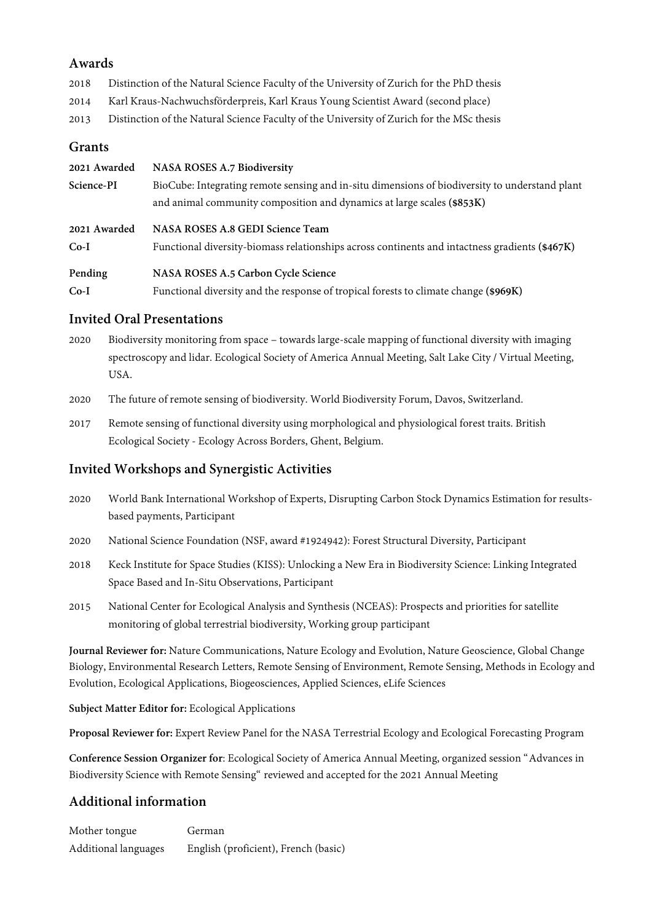#### **Awards**

2018 Distinction of the Natural Science Faculty of the University of Zurich for the PhD thesis

- 2014 Karl Kraus-Nachwuchsförderpreis, Karl Kraus Young Scientist Award (second place)
- 2013 Distinction of the Natural Science Faculty of the University of Zurich for the MSc thesis

### **Grants**

| 2021 Awarded           | <b>NASA ROSES A.7 Biodiversity</b>                                                                                                                                       |
|------------------------|--------------------------------------------------------------------------------------------------------------------------------------------------------------------------|
| Science-PI             | BioCube: Integrating remote sensing and in-situ dimensions of biodiversity to understand plant<br>and animal community composition and dynamics at large scales (\$853K) |
| 2021 Awarded<br>$Co-I$ | NASA ROSES A.8 GEDI Science Team<br>Functional diversity-biomass relationships across continents and intactness gradients (\$467K)                                       |
| Pending                | NASA ROSES A.5 Carbon Cycle Science                                                                                                                                      |
| $Co-I$                 | Functional diversity and the response of tropical forests to climate change (\$969K)                                                                                     |

#### **Invited Oral Presentations**

- 2020 Biodiversity monitoring from space towards large-scale mapping of functional diversity with imaging spectroscopy and lidar. Ecological Society of America Annual Meeting, Salt Lake City / Virtual Meeting, USA.
- 2020 The future of remote sensing of biodiversity. World Biodiversity Forum, Davos, Switzerland.
- 2017 Remote sensing of functional diversity using morphological and physiological forest traits. British Ecological Society - Ecology Across Borders, Ghent, Belgium.

# **Invited Workshops and Synergistic Activities**

- 2020 World Bank International Workshop of Experts, Disrupting Carbon Stock Dynamics Estimation for resultsbased payments, Participant
- 2020 National Science Foundation (NSF, award #1924942): Forest Structural Diversity, Participant
- 2018 Keck Institute for Space Studies (KISS): Unlocking a New Era in Biodiversity Science: Linking Integrated Space Based and In-Situ Observations, Participant
- 2015 National Center for Ecological Analysis and Synthesis (NCEAS): Prospects and priorities for satellite monitoring of global terrestrial biodiversity, Working group participant

**Journal Reviewer for:** Nature Communications, Nature Ecology and Evolution, Nature Geoscience, Global Change Biology, Environmental Research Letters, Remote Sensing of Environment, Remote Sensing, Methods in Ecology and Evolution, Ecological Applications, Biogeosciences, Applied Sciences, eLife Sciences

**Subject Matter Editor for:** Ecological Applications

**Proposal Reviewer for:** Expert Review Panel for the NASA Terrestrial Ecology and Ecological Forecasting Program

**Conference Session Organizer for**: Ecological Society of America Annual Meeting, organized session "Advances in Biodiversity Science with Remote Sensing" reviewed and accepted for the 2021 Annual Meeting

# **Additional information**

Mother tongue German Additional languages English (proficient), French (basic)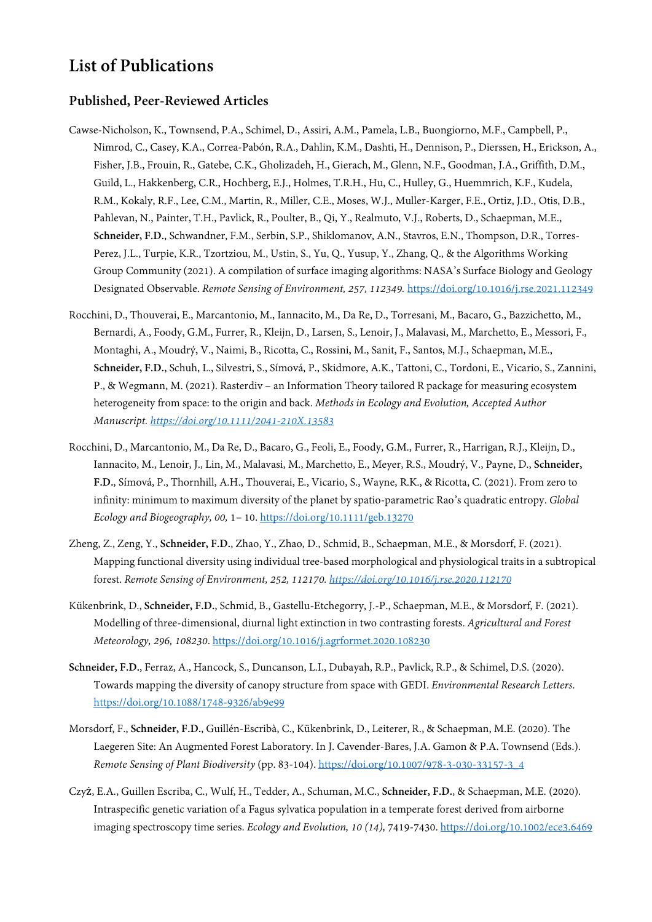# **List of Publications**

#### **Published, Peer-Reviewed Articles**

- Cawse-Nicholson, K., Townsend, P.A., Schimel, D., Assiri, A.M., Pamela, L.B., Buongiorno, M.F., Campbell, P., Nimrod, C., Casey, K.A., Correa-Pabón, R.A., Dahlin, K.M., Dashti, H., Dennison, P., Dierssen, H., Erickson, A., Fisher, J.B., Frouin, R., Gatebe, C.K., Gholizadeh, H., Gierach, M., Glenn, N.F., Goodman, J.A., Griffith, D.M., Guild, L., Hakkenberg, C.R., Hochberg, E.J., Holmes, T.R.H., Hu, C., Hulley, G., Huemmrich, K.F., Kudela, R.M., Kokaly, R.F., Lee, C.M., Martin, R., Miller, C.E., Moses, W.J., Muller-Karger, F.E., Ortiz, J.D., Otis, D.B., Pahlevan, N., Painter, T.H., Pavlick, R., Poulter, B., Qi, Y., Realmuto, V.J., Roberts, D., Schaepman, M.E., **Schneider, F.D.**, Schwandner, F.M., Serbin, S.P., Shiklomanov, A.N., Stavros, E.N., Thompson, D.R., Torres-Perez, J.L., Turpie, K.R., Tzortziou, M., Ustin, S., Yu, Q., Yusup, Y., Zhang, Q., & the Algorithms Working Group Community (2021). A compilation of surface imaging algorithms: NASA's Surface Biology and Geology Designated Observable. *Remote Sensing of Environment, 257, 112349.* <https://doi.org/10.1016/j.rse.2021.112349>
- Rocchini, D., Thouverai, E., Marcantonio, M., Iannacito, M., Da Re, D., Torresani, M., Bacaro, G., Bazzichetto, M., Bernardi, A., Foody, G.M., Furrer, R., Kleijn, D., Larsen, S., Lenoir, J., Malavasi, M., Marchetto, E., Messori, F., Montaghi, A., Moudrý, V., Naimi, B., Ricotta, C., Rossini, M., Sanit, F., Santos, M.J., Schaepman, M.E., **Schneider, F.D.**, Schuh, L., Silvestri, S., Símová, P., Skidmore, A.K., Tattoni, C., Tordoni, E., Vicario, S., Zannini, P., & Wegmann, M. (2021). Rasterdiv – an Information Theory tailored R package for measuring ecosystem heterogeneity from space: to the origin and back. *Methods in Ecology and Evolution, Accepted Author Manuscript[. https://doi.org/10.1111/2041-210X.13583](https://doi.org/10.1111/2041-210X.13583)*
- Rocchini, D., Marcantonio, M., Da Re, D., Bacaro, G., Feoli, E., Foody, G.M., Furrer, R., Harrigan, R.J., Kleijn, D., Iannacito, M., Lenoir, J., Lin, M., Malavasi, M., Marchetto, E., Meyer, R.S., Moudrý, V., Payne, D., **Schneider, F.D.**, Símová, P., Thornhill, A.H., Thouverai, E., Vicario, S., Wayne, R.K., & Ricotta, C. (2021). From zero to infinity: minimum to maximum diversity of the planet by spatio-parametric Rao's quadratic entropy. *Global Ecology and Biogeography, 00,* 1– 10[. https://doi.org/10.1111/geb.13270](https://doi.org/10.1111/geb.13270)
- Zheng, Z., Zeng, Y., **Schneider, F.D.**, Zhao, Y., Zhao, D., Schmid, B., Schaepman, M.E., & Morsdorf, F. (2021). Mapping functional diversity using individual tree-based morphological and physiological traits in a subtropical forest. *Remote Sensing of Environment, 252, 112170[. https://doi.org/10.1016/j.rse.2020.112170](https://doi.org/10.1016/j.rse.2020.112170)*
- Kükenbrink, D., **Schneider, F.D.**, Schmid, B., Gastellu-Etchegorry, J.-P., Schaepman, M.E., & Morsdorf, F. (2021). Modelling of three-dimensional, diurnal light extinction in two contrasting forests. *Agricultural and Forest Meteorology, 296, 108230*.<https://doi.org/10.1016/j.agrformet.2020.108230>
- **Schneider, F.D.**, Ferraz, A., Hancock, S., Duncanson, L.I., Dubayah, R.P., Pavlick, R.P., & Schimel, D.S. (2020). Towards mapping the diversity of canopy structure from space with GEDI. *Environmental Research Letters*. <https://doi.org/10.1088/1748-9326/ab9e99>
- Morsdorf, F., **Schneider, F.D.**, Guillén-Escribà, C., Kükenbrink, D., Leiterer, R., & Schaepman, M.E. (2020). The Laegeren Site: An Augmented Forest Laboratory. In J. Cavender-Bares, J.A. Gamon & P.A. Townsend (Eds.). *Remote Sensing of Plant Biodiversity* (pp. 83-104). [https://doi.org/10.1007/978-3-030-33157-3\\_4](https://doi.org/10.1007/978-3-030-33157-3_4)
- Czyż, E.A., Guillen Escriba, C., Wulf, H., Tedder, A., Schuman, M.C., **Schneider, F.D.**, & Schaepman, M.E. (2020). Intraspecific genetic variation of a Fagus sylvatica population in a temperate forest derived from airborne imaging spectroscopy time series. *Ecology and Evolution, 10 (14),* 7419-7430[. https://doi.org/10.1002/ece3.6469](https://doi.org/10.1002/ece3.6469)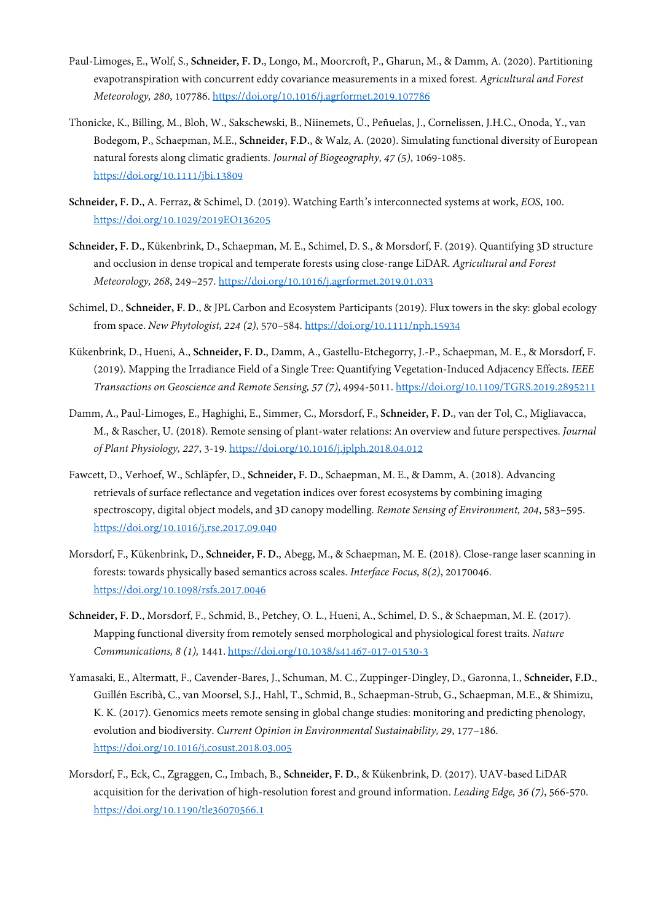- Paul-Limoges, E., Wolf, S., **Schneider, F. D.**, Longo, M., Moorcroft, P., Gharun, M., & Damm, A. (2020). Partitioning evapotranspiration with concurrent eddy covariance measurements in a mixed forest. *Agricultural and Forest Meteorology, 280*, 107786.<https://doi.org/10.1016/j.agrformet.2019.107786>
- Thonicke, K., Billing, M., Bloh, W., Sakschewski, B., Niinemets, Ü., Peñuelas, J., Cornelissen, J.H.C., Onoda, Y., van Bodegom, P., Schaepman, M.E., **Schneider, F.D.**, & Walz, A. (2020). Simulating functional diversity of European natural forests along climatic gradients. *Journal of Biogeography, 47 (5)*, 1069-1085. <https://doi.org/10.1111/jbi.13809>
- **Schneider, F. D.**, A. Ferraz, & Schimel, D. (2019). Watching Earth's interconnected systems at work, *EOS*, 100. <https://doi.org/10.1029/2019EO136205>
- **Schneider, F. D.**, Kükenbrink, D., Schaepman, M. E., Schimel, D. S., & Morsdorf, F. (2019). Quantifying 3D structure and occlusion in dense tropical and temperate forests using close-range LiDAR. *Agricultural and Forest Meteorology, 268*, 249–257[. https://doi.org/10.1016/j.agrformet.2019.01.033](https://doi.org/10.1016/j.agrformet.2019.01.033)
- Schimel, D., **Schneider, F. D.**, & JPL Carbon and Ecosystem Participants (2019). Flux towers in the sky: global ecology from space. *New Phytologist, 224 (2)*, 570–584[. https://doi.org/10.1111/nph.15934](https://doi.org/10.1111/nph.15934)
- Kükenbrink, D., Hueni, A., **Schneider, F. D.**, Damm, A., Gastellu-Etchegorry, J.-P., Schaepman, M. E., & Morsdorf, F. (2019). Mapping the Irradiance Field of a Single Tree: Quantifying Vegetation-Induced Adjacency Effects. *IEEE Transactions on Geoscience and Remote Sensing, 57 (7)*, 4994-5011[. https://doi.org/10.1109/TGRS.2019.2895211](https://doi.org/10.1109/TGRS.2019.2895211)
- Damm, A., Paul-Limoges, E., Haghighi, E., Simmer, C., Morsdorf, F., **Schneider, F. D.**, van der Tol, C., Migliavacca, M., & Rascher, U. (2018). Remote sensing of plant-water relations: An overview and future perspectives. *Journal of Plant Physiology, 227*, 3-19[. https://doi.org/10.1016/j.jplph.2018.04.012](https://doi.org/10.1016/j.jplph.2018.04.012)
- Fawcett, D., Verhoef, W., Schläpfer, D., **Schneider, F. D.**, Schaepman, M. E., & Damm, A. (2018). Advancing retrievals of surface reflectance and vegetation indices over forest ecosystems by combining imaging spectroscopy, digital object models, and 3D canopy modelling. *Remote Sensing of Environment, 204*, 583–595. <https://doi.org/10.1016/j.rse.2017.09.040>
- Morsdorf, F., Kükenbrink, D., **Schneider, F. D.**, Abegg, M., & Schaepman, M. E. (2018). Close-range laser scanning in forests: towards physically based semantics across scales. *Interface Focus, 8(2)*, 20170046. <https://doi.org/10.1098/rsfs.2017.0046>
- **Schneider, F. D.**, Morsdorf, F., Schmid, B., Petchey, O. L., Hueni, A., Schimel, D. S., & Schaepman, M. E. (2017). Mapping functional diversity from remotely sensed morphological and physiological forest traits. *Nature Communications, 8 (1),* 1441[. https://doi.org/10.1038/s41467-017-01530-3](https://doi.org/10.1038/s41467-017-01530-3)
- Yamasaki, E., Altermatt, F., Cavender-Bares, J., Schuman, M. C., Zuppinger-Dingley, D., Garonna, I., **Schneider, F.D.**, Guillén Escribà, C., van Moorsel, S.J., Hahl, T., Schmid, B., Schaepman-Strub, G., Schaepman, M.E., & Shimizu, K. K. (2017). Genomics meets remote sensing in global change studies: monitoring and predicting phenology, evolution and biodiversity. *Current Opinion in Environmental Sustainability, 29*, 177–186. <https://doi.org/10.1016/j.cosust.2018.03.005>
- Morsdorf, F., Eck, C., Zgraggen, C., Imbach, B., **Schneider, F. D.**, & Kükenbrink, D. (2017). UAV-based LiDAR acquisition for the derivation of high-resolution forest and ground information. *Leading Edge, 36 (7)*, 566-570. <https://doi.org/10.1190/tle36070566.1>